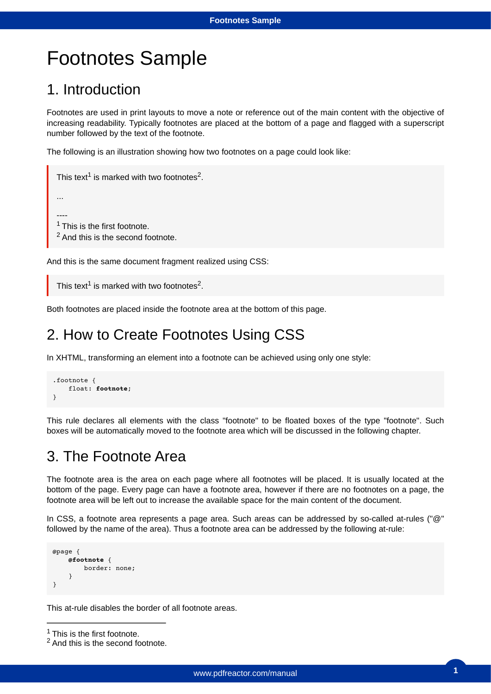# Footnotes Sample

# 1. Introduction

Footnotes are used in print layouts to move a note or reference out of the main content with the objective of increasing readability. Typically footnotes are placed at the bottom of a page and flagged with a superscript number followed by the text of the footnote.

The following is an illustration showing how two footnotes on a page could look like:

```
This text^1 is marked with two footnotes^2.
...
----
1 This is the first footnote.
<sup>2</sup> And this is the second footnote.
```
And this is the same document fragment realized using CSS:

```
This text^1 is marked with two footnotes^2.
```
Both footnotes are placed inside the footnote area at the bottom of this page.

### 2. How to Create Footnotes Using CSS

In XHTML, transforming an element into a footnote can be achieved using only one style:

```
.footnote {
     float: footnote;
}
```
This rule declares all elements with the class "footnote" to be floated boxes of the type "footnote". Such boxes will be automatically moved to the footnote area which will be discussed in the following chapter.

### 3. The Footnote Area

The footnote area is the area on each page where all footnotes will be placed. It is usually located at the bottom of the page. Every page can have a footnote area, however if there are no footnotes on a page, the footnote area will be left out to increase the available space for the main content of the document.

In CSS, a footnote area represents a page area. Such areas can be addressed by so-called at-rules ("@" followed by the name of the area). Thus a footnote area can be addressed by the following at-rule:

```
@page {
     @footnote {
          border: none;
     }
}
```
This at-rule disables the border of all footnote areas.

```
1 This is the first footnote.
```
<sup>&</sup>lt;sup>2</sup> And this is the second footnote.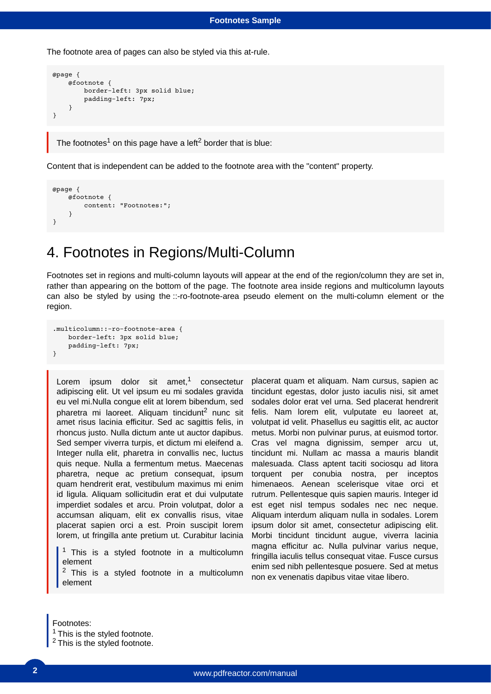#### **Footnotes Sample**

The footnote area of pages can also be styled via this at-rule.

```
@page {
     @footnote {
         border-left: 3px solid blue;
         padding-left: 7px;
     }
}
```
The footnotes $^1$  on this page have a left $^2$  border that is blue:

Content that is independent can be added to the footnote area with the "content" property.

```
@page {
     @footnote {
         content: "Footnotes:";
     }
}
```
### 4. Footnotes in Regions/Multi-Column

Footnotes set in regions and multi-column layouts will appear at the end of the region/column they are set in, rather than appearing on the bottom of the page. The footnote area inside regions and multicolumn layouts can also be styled by using the ::-ro-footnote-area pseudo element on the multi-column element or the region.

```
.multicolumn::-ro-footnote-area {
    border-left: 3px solid blue;
    padding-left: 7px;
}
```
Lorem ipsum dolor sit amet, $1$  consectetur adipiscing elit. Ut vel ipsum eu mi sodales gravida eu vel mi.Nulla congue elit at lorem bibendum, sed pharetra mi laoreet. Aliquam tincidunt<sup>2</sup> nunc sit amet risus lacinia efficitur. Sed ac sagittis felis, in rhoncus justo. Nulla dictum ante ut auctor dapibus. Sed semper viverra turpis, et dictum mi eleifend a. Integer nulla elit, pharetra in convallis nec, luctus quis neque. Nulla a fermentum metus. Maecenas pharetra, neque ac pretium consequat, ipsum quam hendrerit erat, vestibulum maximus mi enim id ligula. Aliquam sollicitudin erat et dui vulputate imperdiet sodales et arcu. Proin volutpat, dolor a accumsan aliquam, elit ex convallis risus, vitae placerat sapien orci a est. Proin suscipit lorem lorem, ut fringilla ante pretium ut. Curabitur lacinia

 $1$  This is a styled footnote in a multicolumn element

 $2$  This is a styled footnote in a multicolumn element

placerat quam et aliquam. Nam cursus, sapien ac tincidunt egestas, dolor justo iaculis nisi, sit amet sodales dolor erat vel urna. Sed placerat hendrerit felis. Nam lorem elit, vulputate eu laoreet at, volutpat id velit. Phasellus eu sagittis elit, ac auctor metus. Morbi non pulvinar purus, at euismod tortor. Cras vel magna dignissim, semper arcu ut, tincidunt mi. Nullam ac massa a mauris blandit malesuada. Class aptent taciti sociosqu ad litora torquent per conubia nostra, per inceptos himenaeos. Aenean scelerisque vitae orci et rutrum. Pellentesque quis sapien mauris. Integer id est eget nisl tempus sodales nec nec neque. Aliquam interdum aliquam nulla in sodales. Lorem ipsum dolor sit amet, consectetur adipiscing elit. Morbi tincidunt tincidunt augue, viverra lacinia magna efficitur ac. Nulla pulvinar varius neque, fringilla iaculis tellus consequat vitae. Fusce cursus enim sed nibh pellentesque posuere. Sed at metus non ex venenatis dapibus vitae vitae libero.

Footnotes:

 $1$  This is the styled footnote.

<sup>2</sup>This is the styled footnote.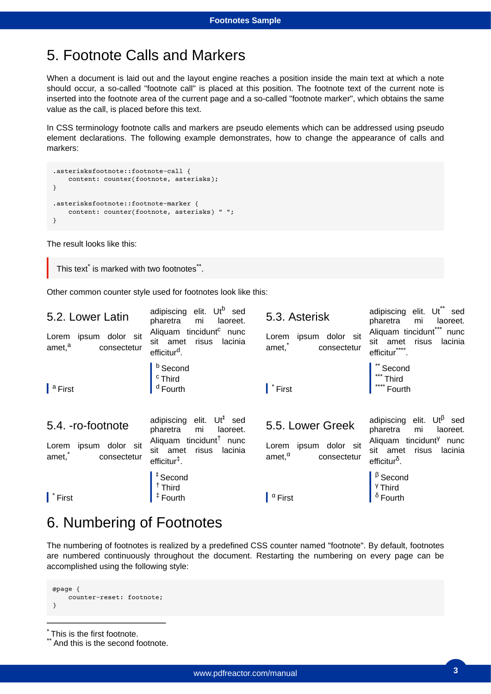# 5. Footnote Calls and Markers

When a document is laid out and the layout engine reaches a position inside the main text at which a note should occur, a so-called "footnote call" is placed at this position. The footnote text of the current note is inserted into the footnote area of the current page and a so-called "footnote marker", which obtains the same value as the call, is placed before this text.

In CSS terminology footnote calls and markers are pseudo elements which can be addressed using pseudo element declarations. The following example demonstrates, how to change the appearance of calls and markers:

```
.asterisksfootnote::footnote-call {
    content: counter(footnote, asterisks);
}
.asterisksfootnote::footnote-marker {
    content: counter(footnote, asterisks) " ";
}
```
The result looks like this:

```
This text<sup>*</sup> is marked with two footnotes**.
```
Other common counter style used for footnotes look like this:

| 5.2. Lower Latin<br>ipsum dolor sit<br>Lorem<br>amet, <sup>a</sup><br>consectetur | $Ut^b$ sed<br>adipiscing elit.<br>pharetra<br>mi<br>laoreet.<br>Aliquam tincidunt <sup>c</sup><br>nunc<br>sit amet<br>risus<br>lacinia | 5.3. Asterisk<br>ipsum<br>dolor sit<br>Lorem<br>amet,*<br>consectetur | $Ut^*$ sed<br>adipiscing elit.<br>pharetra<br>mi<br>laoreet.<br>Aliquam tincidunt"<br>nunc<br>sit amet<br>risus<br>lacinia |
|-----------------------------------------------------------------------------------|----------------------------------------------------------------------------------------------------------------------------------------|-----------------------------------------------------------------------|----------------------------------------------------------------------------------------------------------------------------|
| a First                                                                           | efficitur <sup>d</sup> .<br><sup>b</sup> Second<br><sup>c</sup> Third<br><sup>d</sup> Fourth                                           | $\mathsf{I}^*$ First                                                  | efficitur****.<br>** Second<br>*** Third<br>Fourth                                                                         |
| 5.4. - ro-footnote                                                                | $Ut^*$ sed<br>adipiscing elit.<br>pharetra<br>mi<br>laoreet.                                                                           | 5.5. Lower Greek                                                      | $Ut^{\beta}$ sed<br>adipiscing elit.<br>pharetra<br>laoreet.<br>mi                                                         |
| Lorem ipsum dolor sit<br>amet,*<br>consectetur                                    | Aliquam tincidunt <sup>†</sup><br>nunc<br>risus<br>sit amet<br>lacinia<br>$efficitur‡$ .                                               | Lorem ipsum dolor sit<br>amet, $^{\alpha}$<br>consectetur             | Aliquam tincidunt <sup>y</sup><br>nunc<br>sit amet<br>risus<br>lacinia<br>efficitur $\delta$ .                             |

### 6. Numbering of Footnotes

The numbering of footnotes is realized by a predefined CSS counter named "footnote". By default, footnotes are numbered continuously throughout the document. Restarting the numbering on every page can be accomplished using the following style:

```
@page {
     counter-reset: footnote;
}
```
\* This is the first footnote.

 $^{\prime}$  And this is the second footnote.